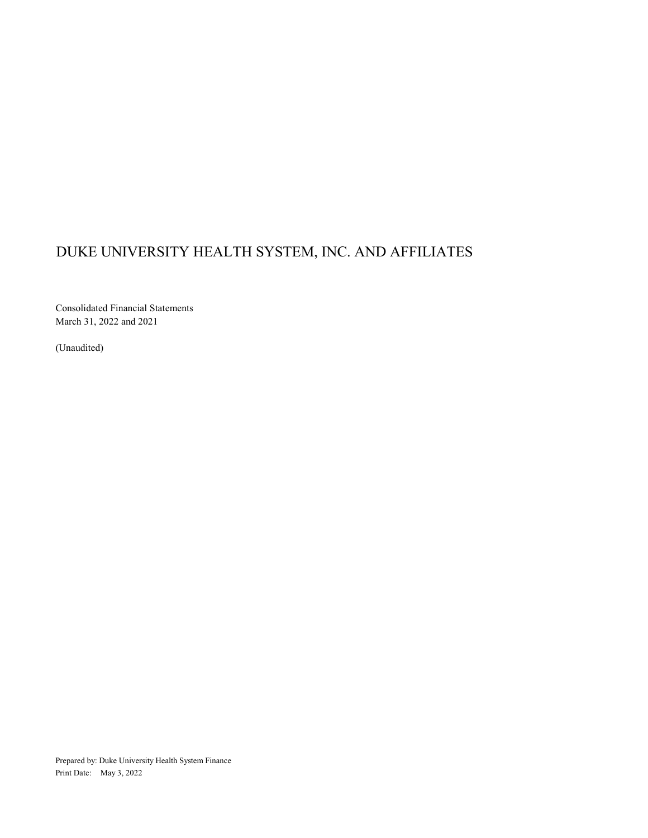Consolidated Financial Statements March 31, 2022 and 2021

(Unaudited)

Prepared by: Duke University Health System Finance Print Date: May 3, 2022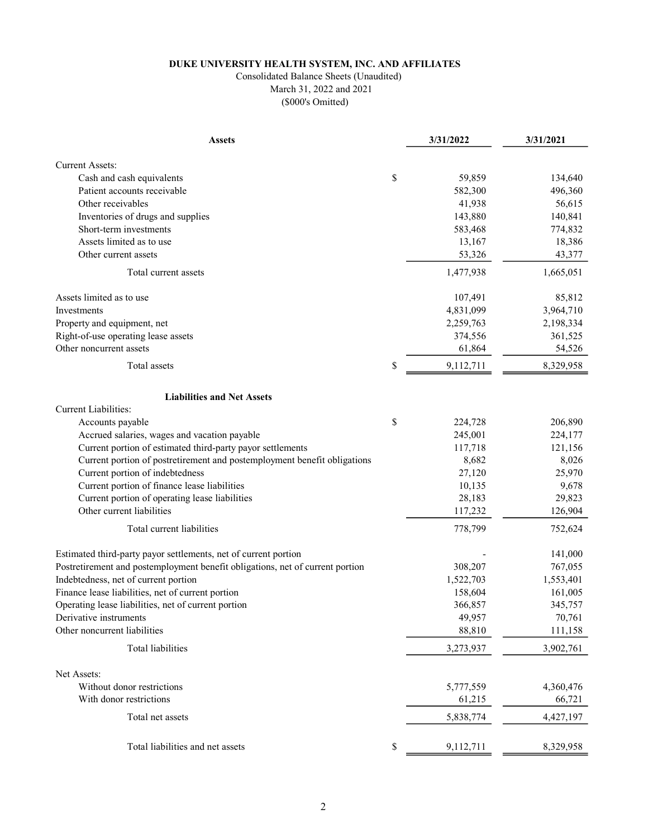## Consolidated Balance Sheets (Unaudited)

March 31, 2022 and 2021 (\$000's Omitted)

| <b>Assets</b>                                                                 | 3/31/2022       | 3/31/2021 |
|-------------------------------------------------------------------------------|-----------------|-----------|
|                                                                               |                 |           |
| <b>Current Assets:</b><br>Cash and cash equivalents                           | \$<br>59,859    | 134,640   |
| Patient accounts receivable                                                   | 582,300         | 496,360   |
| Other receivables                                                             | 41,938          | 56,615    |
| Inventories of drugs and supplies                                             | 143,880         | 140,841   |
| Short-term investments                                                        | 583,468         | 774,832   |
| Assets limited as to use                                                      | 13,167          | 18,386    |
| Other current assets                                                          | 53,326          | 43,377    |
| Total current assets                                                          | 1,477,938       | 1,665,051 |
| Assets limited as to use                                                      | 107,491         | 85,812    |
| Investments                                                                   | 4,831,099       | 3,964,710 |
| Property and equipment, net                                                   | 2,259,763       | 2,198,334 |
| Right-of-use operating lease assets                                           | 374,556         | 361,525   |
| Other noncurrent assets                                                       | 61,864          | 54,526    |
| Total assets                                                                  | \$<br>9,112,711 | 8,329,958 |
|                                                                               |                 |           |
| <b>Liabilities and Net Assets</b>                                             |                 |           |
| <b>Current Liabilities:</b>                                                   |                 |           |
| Accounts payable                                                              | \$<br>224,728   | 206,890   |
| Accrued salaries, wages and vacation payable                                  | 245,001         | 224,177   |
| Current portion of estimated third-party payor settlements                    | 117,718         | 121,156   |
| Current portion of postretirement and postemployment benefit obligations      | 8,682           | 8,026     |
| Current portion of indebtedness                                               | 27,120          | 25,970    |
| Current portion of finance lease liabilities                                  | 10,135          | 9,678     |
| Current portion of operating lease liabilities                                | 28,183          | 29,823    |
| Other current liabilities                                                     | 117,232         | 126,904   |
| Total current liabilities                                                     | 778,799         | 752,624   |
| Estimated third-party payor settlements, net of current portion               |                 | 141,000   |
| Postretirement and postemployment benefit obligations, net of current portion | 308,207         | 767,055   |
| Indebtedness, net of current portion                                          | 1,522,703       | 1,553,401 |
| Finance lease liabilities, net of current portion                             | 158,604         | 161,005   |
| Operating lease liabilities, net of current portion                           | 366,857         | 345,757   |
| Derivative instruments                                                        | 49,957          | 70,761    |
| Other noncurrent liabilities                                                  | 88,810          | 111,158   |
| Total liabilities                                                             | 3,273,937       | 3,902,761 |
| Net Assets:                                                                   |                 |           |
| Without donor restrictions                                                    | 5,777,559       | 4,360,476 |
| With donor restrictions                                                       | 61,215          | 66,721    |
| Total net assets                                                              | 5,838,774       | 4,427,197 |
|                                                                               |                 |           |
| Total liabilities and net assets                                              | \$<br>9,112,711 | 8,329,958 |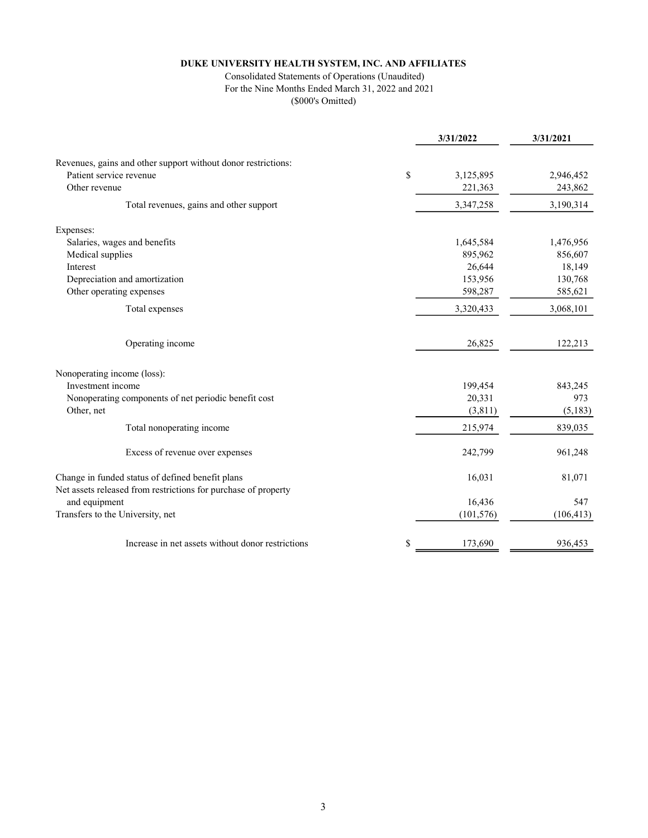#### Consolidated Statements of Operations (Unaudited) For the Nine Months Ended March 31, 2022 and 2021

|                                                                | 3/31/2022       | 3/31/2021  |
|----------------------------------------------------------------|-----------------|------------|
| Revenues, gains and other support without donor restrictions:  |                 |            |
| Patient service revenue                                        | \$<br>3,125,895 | 2,946,452  |
| Other revenue                                                  | 221,363         | 243,862    |
|                                                                |                 |            |
| Total revenues, gains and other support                        | 3,347,258       | 3,190,314  |
| Expenses:                                                      |                 |            |
| Salaries, wages and benefits                                   | 1,645,584       | 1,476,956  |
| Medical supplies                                               | 895,962         | 856,607    |
| Interest                                                       | 26,644          | 18,149     |
| Depreciation and amortization                                  | 153,956         | 130,768    |
| Other operating expenses                                       | 598,287         | 585,621    |
| Total expenses                                                 | 3,320,433       | 3,068,101  |
| Operating income                                               | 26,825          | 122,213    |
| Nonoperating income (loss):                                    |                 |            |
| Investment income                                              | 199,454         | 843,245    |
| Nonoperating components of net periodic benefit cost           | 20,331          | 973        |
| Other, net                                                     | (3,811)         | (5, 183)   |
| Total nonoperating income                                      | 215,974         | 839,035    |
| Excess of revenue over expenses                                | 242,799         | 961,248    |
| Change in funded status of defined benefit plans               | 16,031          | 81,071     |
| Net assets released from restrictions for purchase of property |                 |            |
| and equipment                                                  | 16,436          | 547        |
| Transfers to the University, net                               | (101, 576)      | (106, 413) |
| Increase in net assets without donor restrictions              | \$<br>173,690   | 936,453    |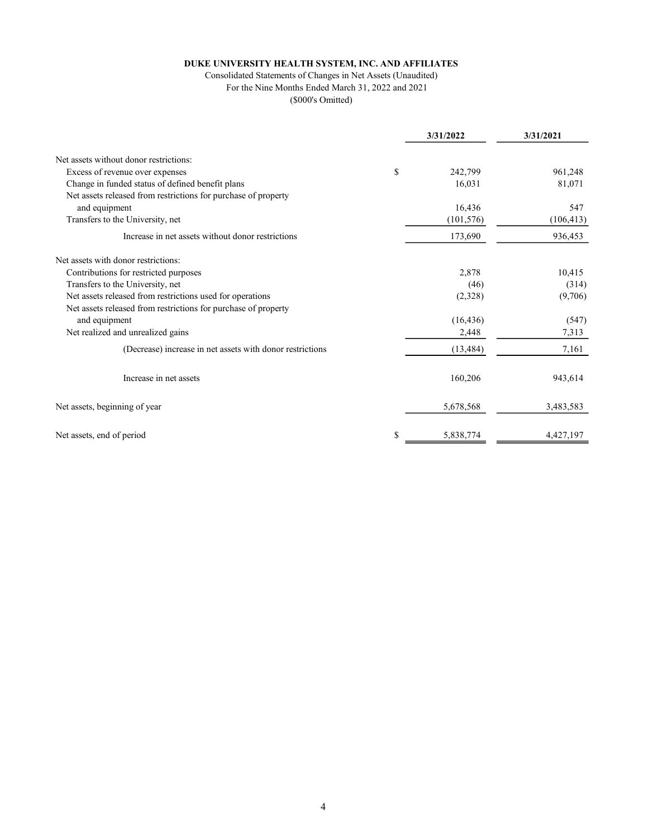#### Consolidated Statements of Changes in Net Assets (Unaudited) For the Nine Months Ended March 31, 2022 and 2021

|                                                                | 3/31/2022       | 3/31/2021  |
|----------------------------------------------------------------|-----------------|------------|
| Net assets without donor restrictions:                         |                 |            |
| Excess of revenue over expenses                                | \$<br>242,799   | 961,248    |
| Change in funded status of defined benefit plans               | 16,031          | 81,071     |
| Net assets released from restrictions for purchase of property |                 |            |
| and equipment                                                  | 16,436          | 547        |
| Transfers to the University, net                               | (101, 576)      | (106, 413) |
| Increase in net assets without donor restrictions              | 173,690         | 936,453    |
| Net assets with donor restrictions:                            |                 |            |
| Contributions for restricted purposes                          | 2,878           | 10,415     |
| Transfers to the University, net                               | (46)            | (314)      |
| Net assets released from restrictions used for operations      | (2,328)         | (9,706)    |
| Net assets released from restrictions for purchase of property |                 |            |
| and equipment                                                  | (16, 436)       | (547)      |
| Net realized and unrealized gains                              | 2,448           | 7,313      |
| (Decrease) increase in net assets with donor restrictions      | (13, 484)       | 7,161      |
| Increase in net assets                                         | 160,206         | 943,614    |
| Net assets, beginning of year                                  | 5,678,568       | 3,483,583  |
| Net assets, end of period                                      | \$<br>5,838,774 | 4,427,197  |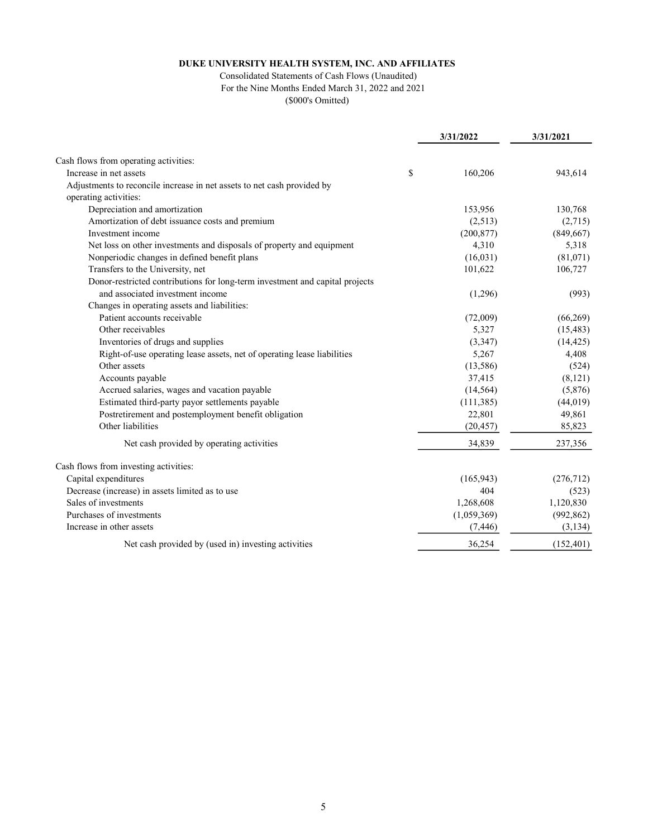#### Consolidated Statements of Cash Flows (Unaudited) For the Nine Months Ended March 31, 2022 and 2021

|                                                                              | 3/31/2022     | 3/31/2021  |
|------------------------------------------------------------------------------|---------------|------------|
| Cash flows from operating activities:                                        |               |            |
| Increase in net assets                                                       | \$<br>160,206 | 943,614    |
| Adjustments to reconcile increase in net assets to net cash provided by      |               |            |
| operating activities:                                                        |               |            |
| Depreciation and amortization                                                | 153,956       | 130,768    |
| Amortization of debt issuance costs and premium                              | (2,513)       | (2,715)    |
| Investment income                                                            | (200, 877)    | (849, 667) |
| Net loss on other investments and disposals of property and equipment        | 4,310         | 5,318      |
| Nonperiodic changes in defined benefit plans                                 | (16,031)      | (81,071)   |
| Transfers to the University, net                                             | 101,622       | 106,727    |
| Donor-restricted contributions for long-term investment and capital projects |               |            |
| and associated investment income                                             | (1,296)       | (993)      |
| Changes in operating assets and liabilities:                                 |               |            |
| Patient accounts receivable                                                  | (72,009)      | (66,269)   |
| Other receivables                                                            | 5,327         | (15, 483)  |
| Inventories of drugs and supplies                                            | (3,347)       | (14, 425)  |
| Right-of-use operating lease assets, net of operating lease liabilities      | 5,267         | 4,408      |
| Other assets                                                                 | (13,586)      | (524)      |
| Accounts payable                                                             | 37,415        | (8, 121)   |
| Accrued salaries, wages and vacation payable                                 | (14, 564)     | (5,876)    |
| Estimated third-party payor settlements payable                              | (111, 385)    | (44, 019)  |
| Postretirement and postemployment benefit obligation                         | 22,801        | 49,861     |
| Other liabilities                                                            | (20, 457)     | 85,823     |
| Net cash provided by operating activities                                    | 34,839        | 237,356    |
| Cash flows from investing activities:                                        |               |            |
| Capital expenditures                                                         | (165, 943)    | (276, 712) |
| Decrease (increase) in assets limited as to use                              | 404           | (523)      |
| Sales of investments                                                         | 1,268,608     | 1,120,830  |
| Purchases of investments                                                     | (1,059,369)   | (992, 862) |
| Increase in other assets                                                     | (7, 446)      | (3, 134)   |
| Net cash provided by (used in) investing activities                          | 36,254        | (152, 401) |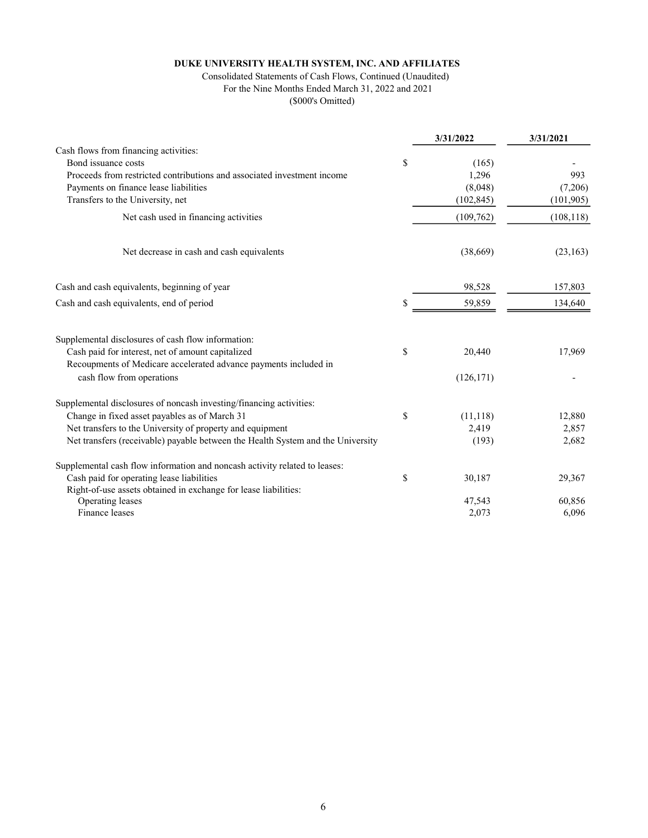#### Consolidated Statements of Cash Flows, Continued (Unaudited) For the Nine Months Ended March 31, 2022 and 2021 (\$000's Omitted)

|                                                                                 | 3/31/2022       | 3/31/2021  |
|---------------------------------------------------------------------------------|-----------------|------------|
| Cash flows from financing activities:                                           |                 |            |
| Bond issuance costs                                                             | \$<br>(165)     |            |
| Proceeds from restricted contributions and associated investment income         | 1,296           | 993        |
| Payments on finance lease liabilities                                           | (8,048)         | (7,206)    |
| Transfers to the University, net                                                | (102, 845)      | (101, 905) |
| Net cash used in financing activities                                           | (109, 762)      | (108, 118) |
| Net decrease in cash and cash equivalents                                       | (38,669)        | (23, 163)  |
| Cash and cash equivalents, beginning of year                                    | 98,528          | 157,803    |
| Cash and cash equivalents, end of period                                        | 59,859          | 134,640    |
| Supplemental disclosures of cash flow information:                              |                 |            |
| Cash paid for interest, net of amount capitalized                               | \$<br>20,440    | 17,969     |
| Recoupments of Medicare accelerated advance payments included in                |                 |            |
| cash flow from operations                                                       | (126, 171)      |            |
| Supplemental disclosures of noncash investing/financing activities:             |                 |            |
| Change in fixed asset payables as of March 31                                   | \$<br>(11, 118) | 12,880     |
| Net transfers to the University of property and equipment                       | 2,419           | 2,857      |
| Net transfers (receivable) payable between the Health System and the University | (193)           | 2,682      |
| Supplemental cash flow information and noncash activity related to leases:      |                 |            |
| Cash paid for operating lease liabilities                                       | \$<br>30,187    | 29,367     |
| Right-of-use assets obtained in exchange for lease liabilities:                 |                 |            |
| Operating leases                                                                | 47,543          | 60,856     |
| Finance leases                                                                  | 2,073           | 6,096      |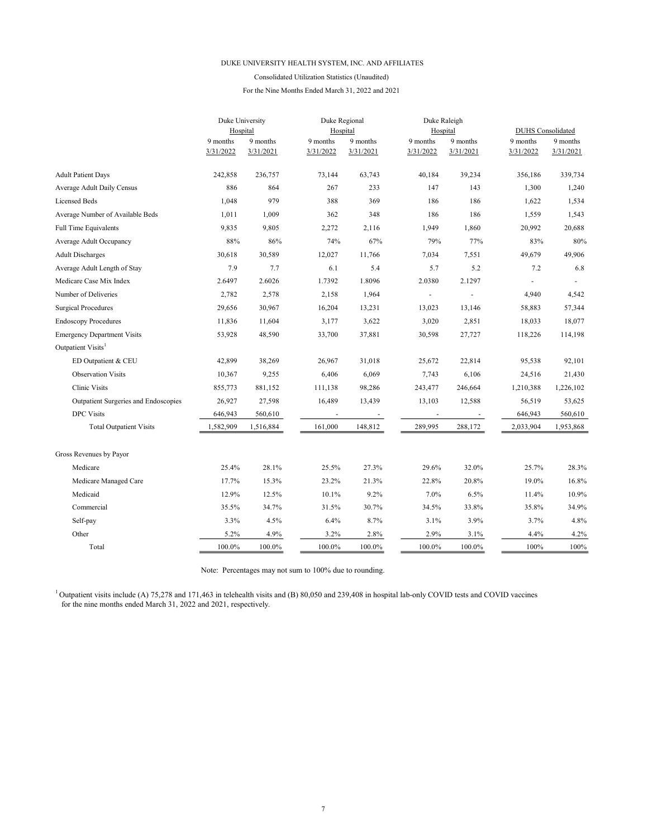#### Consolidated Utilization Statistics (Unaudited)

For the Nine Months Ended March 31, 2022 and 2021

|                                      | Duke University |           |                          | Duke Regional            |                          | Duke Raleigh |                          |           |  |
|--------------------------------------|-----------------|-----------|--------------------------|--------------------------|--------------------------|--------------|--------------------------|-----------|--|
|                                      | Hospital        |           | Hospital                 |                          | Hospital                 |              | <b>DUHS</b> Consolidated |           |  |
|                                      | 9 months        | 9 months  | 9 months                 | 9 months                 | 9 months                 | 9 months     | 9 months                 | 9 months  |  |
|                                      | 3/31/2022       | 3/31/2021 | 3/31/2022                | 3/31/2021                | 3/31/2022                | 3/31/2021    | 3/31/2022                | 3/31/2021 |  |
| <b>Adult Patient Days</b>            | 242,858         | 236,757   | 73,144                   | 63,743                   | 40,184                   | 39,234       | 356,186                  | 339,734   |  |
| Average Adult Daily Census           | 886             | 864       | 267                      | 233                      | 147                      | 143          | 1,300                    | 1,240     |  |
| <b>Licensed Beds</b>                 | 1,048           | 979       | 388                      | 369                      | 186                      | 186          | 1,622                    | 1,534     |  |
| Average Number of Available Beds     | 1,011           | 1,009     | 362                      | 348                      | 186                      | 186          | 1,559                    | 1,543     |  |
| <b>Full Time Equivalents</b>         | 9,835           | 9,805     | 2,272                    | 2,116                    | 1,949                    | 1,860        | 20,992                   | 20,688    |  |
| Average Adult Occupancy              | 88%             | 86%       | 74%                      | 67%                      | 79%                      | 77%          | 83%                      | 80%       |  |
| <b>Adult Discharges</b>              | 30,618          | 30,589    | 12,027                   | 11.766                   | 7,034                    | 7,551        | 49,679                   | 49,906    |  |
| Average Adult Length of Stay         | 7.9             | 7.7       | 6.1                      | 5.4                      | 5.7                      | 5.2          | 7.2                      | 6.8       |  |
| Medicare Case Mix Index              | 2.6497          | 2.6026    | 1.7392                   | 1.8096                   | 2.0380                   | 2.1297       | $\overline{a}$           |           |  |
| Number of Deliveries                 | 2,782           | 2,578     | 2,158                    | 1,964                    | $\overline{\phantom{0}}$ |              | 4,940                    | 4,542     |  |
| <b>Surgical Procedures</b>           | 29,656          | 30,967    | 16,204                   | 13,231                   | 13,023                   | 13,146       | 58,883                   | 57,344    |  |
| <b>Endoscopy Procedures</b>          | 11,836          | 11,604    | 3,177                    | 3,622                    | 3,020                    | 2,851        | 18,033                   | 18,077    |  |
| <b>Emergency Department Visits</b>   | 53,928          | 48,590    | 33,700                   | 37,881                   | 30,598                   | 27,727       | 118,226                  | 114,198   |  |
| Outpatient Visits <sup>1</sup>       |                 |           |                          |                          |                          |              |                          |           |  |
| ED Outpatient & CEU                  | 42,899          | 38,269    | 26,967                   | 31,018                   | 25,672                   | 22,814       | 95,538                   | 92,101    |  |
| <b>Observation Visits</b>            | 10,367          | 9,255     | 6,406                    | 6,069                    | 7,743                    | 6,106        | 24,516                   | 21,430    |  |
| <b>Clinic Visits</b>                 | 855,773         | 881,152   | 111,138                  | 98,286                   | 243,477                  | 246,664      | 1,210,388                | 1,226,102 |  |
| Outpatient Surgeries and Endoscopies | 26,927          | 27,598    | 16,489                   | 13,439                   | 13,103                   | 12,588       | 56,519                   | 53,625    |  |
| <b>DPC</b> Visits                    | 646,943         | 560,610   | $\overline{\phantom{a}}$ | $\overline{\phantom{a}}$ | $\overline{\phantom{a}}$ |              | 646,943                  | 560,610   |  |
| <b>Total Outpatient Visits</b>       | 1,582,909       | 1,516,884 | 161,000                  | 148,812                  | 289,995                  | 288,172      | 2,033,904                | 1,953,868 |  |
| Gross Revenues by Payor              |                 |           |                          |                          |                          |              |                          |           |  |
| Medicare                             | 25.4%           | 28.1%     | 25.5%                    | 27.3%                    | 29.6%                    | 32.0%        | 25.7%                    | 28.3%     |  |
| Medicare Managed Care                | 17.7%           | 15.3%     | 23.2%                    | 21.3%                    | 22.8%                    | 20.8%        | 19.0%                    | 16.8%     |  |
| Medicaid                             | 12.9%           | 12.5%     | 10.1%                    | 9.2%                     | 7.0%                     | 6.5%         | 11.4%                    | 10.9%     |  |
| Commercial                           | 35.5%           | 34.7%     | 31.5%                    | 30.7%                    | 34.5%                    | 33.8%        | 35.8%                    | 34.9%     |  |
| Self-pay                             | 3.3%            | 4.5%      | 6.4%                     | 8.7%                     | 3.1%                     | 3.9%         | 3.7%                     | 4.8%      |  |
| Other                                | 5.2%            | 4.9%      | 3.2%                     | 2.8%                     | 2.9%                     | 3.1%         | 4.4%                     | 4.2%      |  |
| Total                                | 100.0%          | 100.0%    | 100.0%                   | 100.0%                   | 100.0%                   | 100.0%       | 100%                     | 100%      |  |

Note: Percentages may not sum to 100% due to rounding.

<sup>1</sup> Outpatient visits include (A) 75,278 and 171,463 in telehealth visits and (B) 80,050 and 239,408 in hospital lab-only COVID tests and COVID vaccines for the nine months ended March 31, 2022 and 2021, respectively.